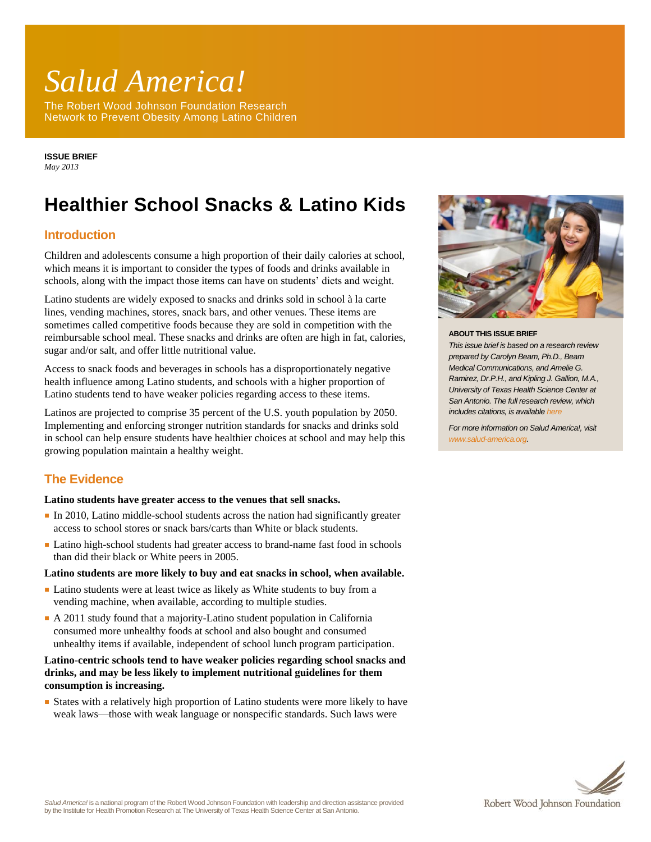# *Salud America!*

The Robert Wood Johnson Foundation Research Network to Prevent Obesity Among Latino Children

**ISSUE BRIEF** *May 2013*

# **Healthier School Snacks & Latino Kids**

# **Introduction**

Children and adolescents consume a high proportion of their daily calories at school, which means it is important to consider the types of foods and drinks available in schools, along with the impact those items can have on students' diets and weight.

Latino students are widely exposed to snacks and drinks sold in school à la carte lines, vending machines, stores, snack bars, and other venues. These items are sometimes called competitive foods because they are sold in competition with the reimbursable school meal. These snacks and drinks are often are high in fat, calories, sugar and/or salt, and offer little nutritional value.

Access to snack foods and beverages in schools has a disproportionately negative health influence among Latino students, and schools with a higher proportion of Latino students tend to have weaker policies regarding access to these items.

Latinos are projected to comprise 35 percent of the U.S. youth population by 2050. Implementing and enforcing stronger nutrition standards for snacks and drinks sold in school can help ensure students have healthier choices at school and may help this growing population maintain a healthy weight.

# **The Evidence**

## **Latino students have greater access to the venues that sell snacks.**

- In 2010, Latino middle-school students across the nation had significantly greater access to school stores or snack bars/carts than White or black students.
- Latino high-school students had greater access to brand-name fast food in schools than did their black or White peers in 2005.

#### **Latino students are more likely to buy and eat snacks in school, when available.**

- Latino students were at least twice as likely as White students to buy from a vending machine, when available, according to multiple studies.
- A 2011 study found that a majority-Latino student population in California consumed more unhealthy foods at school and also bought and consumed unhealthy items if available, independent of school lunch program participation.

# **Latino-centric schools tend to have weaker policies regarding school snacks and drinks, and may be less likely to implement nutritional guidelines for them consumption is increasing.**

■ States with a relatively high proportion of Latino students were more likely to have weak laws—those with weak language or nonspecific standards. Such laws were



#### **ABOUT THIS ISSUE BRIEF**

*This issue brief is based on a research review prepared by Carolyn Beam, Ph.D., Beam Medical Communications, and Amelie G. Ramirez, Dr.P.H., and Kipling J. Gallion, M.A., University of Texas Health Science Center at San Antonio. The full research review, which includes citations, is available [here](http://www.salud-america.org/)*

*For more information on Salud America!, visit [www.salud-america.org.](http://www.salud-america.org/)*